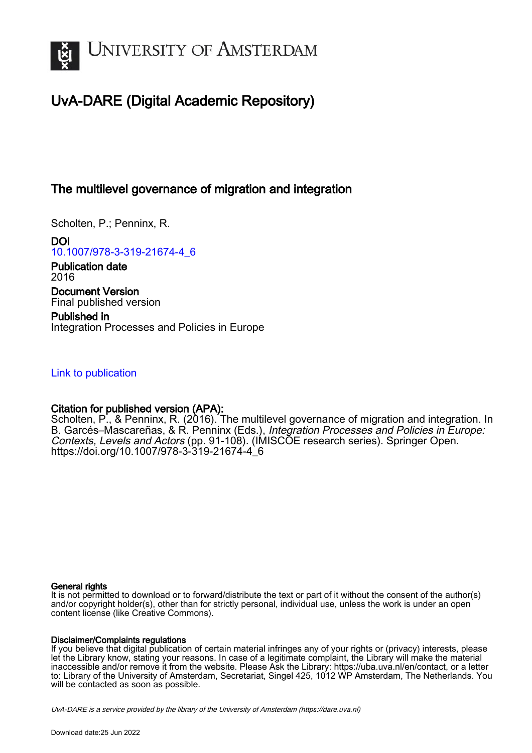

# UvA-DARE (Digital Academic Repository)

## The multilevel governance of migration and integration

Scholten, P.; Penninx, R.

DOI [10.1007/978-3-319-21674-4\\_6](https://doi.org/10.1007/978-3-319-21674-4_6)

Publication date 2016 Document Version Final published version

Published in Integration Processes and Policies in Europe

## [Link to publication](https://dare.uva.nl/personal/pure/en/publications/the-multilevel-governance-of-migration-and-integration(ae75ad89-343e-41d9-8278-13cb11687f5b).html)

### Citation for published version (APA):

Scholten, P., & Penninx, R. (2016). The multilevel governance of migration and integration. In B. Garcés–Mascareñas, & R. Penninx (Eds.), Integration Processes and Policies in Europe: Contexts, Levels and Actors (pp. 91-108). (IMISCOE research series). Springer Open. https://doi.org/10.1007/978-3-319-21674-4 6

#### General rights

It is not permitted to download or to forward/distribute the text or part of it without the consent of the author(s) and/or copyright holder(s), other than for strictly personal, individual use, unless the work is under an open content license (like Creative Commons).

### Disclaimer/Complaints regulations

If you believe that digital publication of certain material infringes any of your rights or (privacy) interests, please let the Library know, stating your reasons. In case of a legitimate complaint, the Library will make the material inaccessible and/or remove it from the website. Please Ask the Library: https://uba.uva.nl/en/contact, or a letter to: Library of the University of Amsterdam, Secretariat, Singel 425, 1012 WP Amsterdam, The Netherlands. You will be contacted as soon as possible.

UvA-DARE is a service provided by the library of the University of Amsterdam (http*s*://dare.uva.nl)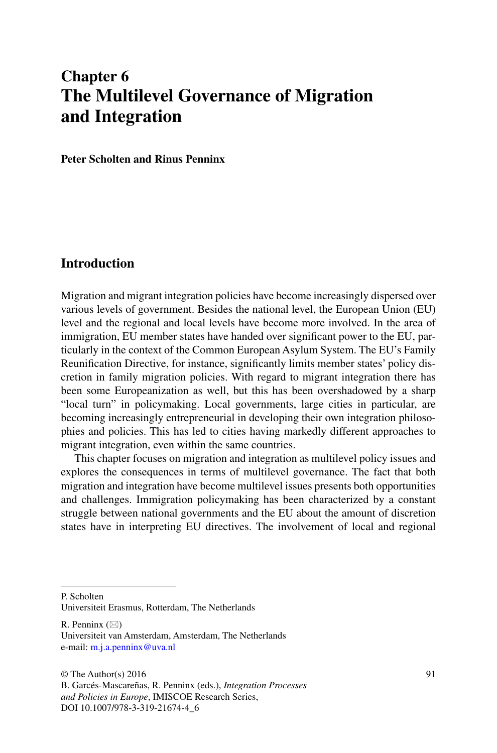## **Chapter 6 The Multilevel Governance of Migration and Integration**

 **Peter Scholten and Rinus Penninx** 

#### **Introduction**

 Migration and migrant integration policies have become increasingly dispersed over various levels of government. Besides the national level, the European Union (EU) level and the regional and local levels have become more involved. In the area of immigration, EU member states have handed over significant power to the EU, particularly in the context of the Common European Asylum System. The EU's Family Reunification Directive, for instance, significantly limits member states' policy discretion in family migration policies. With regard to migrant integration there has been some Europeanization as well, but this has been overshadowed by a sharp "local turn" in policymaking. Local governments, large cities in particular, are becoming increasingly entrepreneurial in developing their own integration philosophies and policies. This has led to cities having markedly different approaches to migrant integration, even within the same countries.

 This chapter focuses on migration and integration as multilevel policy issues and explores the consequences in terms of multilevel governance. The fact that both migration and integration have become multilevel issues presents both opportunities and challenges. Immigration policymaking has been characterized by a constant struggle between national governments and the EU about the amount of discretion states have in interpreting EU directives. The involvement of local and regional

R. Penninx  $(\boxtimes)$ 

 $\odot$  The Author(s) 2016 91

B. Garcés-Mascareñas, R. Penninx (eds.), *Integration Processes and Policies in Europe*, IMISCOE Research Series, DOI 10.1007/978-3-319-21674-4\_6

P. Scholten

Universiteit Erasmus, Rotterdam, The Netherlands

Universiteit van Amsterdam, Amsterdam, The Netherlands e-mail: [m.j.a.penninx@uva.nl](mailto:m.j.a.penninx@uva.nl)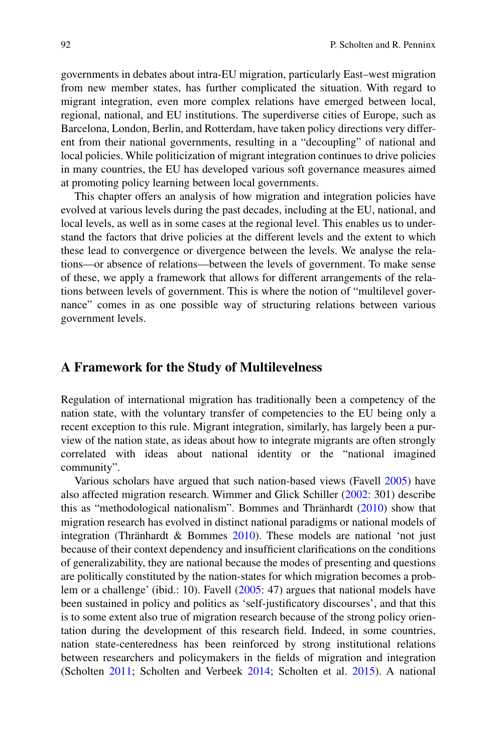governments in debates about intra-EU migration, particularly East–west migration from new member states, has further complicated the situation. With regard to migrant integration, even more complex relations have emerged between local, regional, national, and EU institutions. The superdiverse cities of Europe, such as Barcelona, London, Berlin, and Rotterdam, have taken policy directions very different from their national governments, resulting in a "decoupling" of national and local policies. While politicization of migrant integration continues to drive policies in many countries, the EU has developed various soft governance measures aimed at promoting policy learning between local governments.

 This chapter offers an analysis of how migration and integration policies have evolved at various levels during the past decades, including at the EU, national, and local levels, as well as in some cases at the regional level. This enables us to understand the factors that drive policies at the different levels and the extent to which these lead to convergence or divergence between the levels. We analyse the relations—or absence of relations—between the levels of government. To make sense of these, we apply a framework that allows for different arrangements of the relations between levels of government. This is where the notion of "multilevel governance" comes in as one possible way of structuring relations between various government levels.

#### **A Framework for the Study of Multilevelness**

 Regulation of international migration has traditionally been a competency of the nation state, with the voluntary transfer of competencies to the EU being only a recent exception to this rule. Migrant integration, similarly, has largely been a purview of the nation state, as ideas about how to integrate migrants are often strongly correlated with ideas about national identity or the "national imagined community".

Various scholars have argued that such nation-based views (Favell [2005](#page-17-0)) have also affected migration research. Wimmer and Glick Schiller (2002: 301) describe this as "methodological nationalism". Bommes and Thränhardt [\( 2010](#page-16-0) ) show that migration research has evolved in distinct national paradigms or national models of integration (Thränhardt & Bommes 2010). These models are national 'not just because of their context dependency and insufficient clarifications on the conditions of generalizability, they are national because the modes of presenting and questions are politically constituted by the nation-states for which migration becomes a problem or a challenge' (ibid.: 10). Favell (2005: 47) argues that national models have been sustained in policy and politics as 'self-justificatory discourses', and that this is to some extent also true of migration research because of the strong policy orientation during the development of this research field. Indeed, in some countries, nation state-centeredness has been reinforced by strong institutional relations between researchers and policymakers in the fields of migration and integration (Scholten 2011; Scholten and Verbeek [2014](#page-18-0); Scholten et al. 2015). A national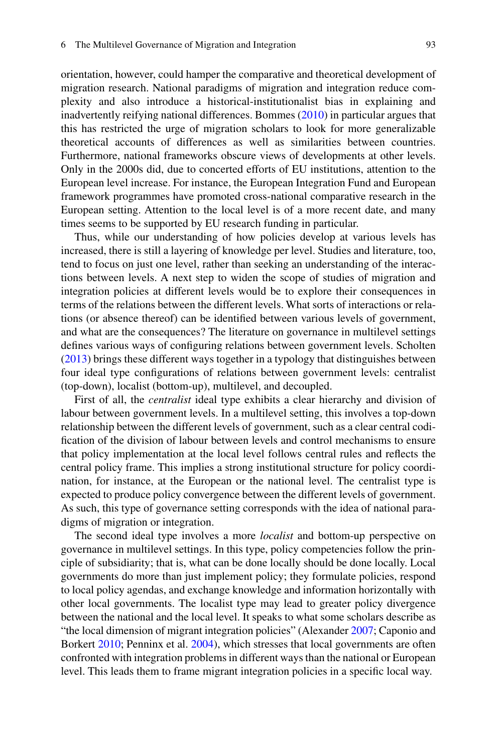orientation, however, could hamper the comparative and theoretical development of migration research. National paradigms of migration and integration reduce complexity and also introduce a historical-institutionalist bias in explaining and inadvertently reifying national differences. Bommes  $(2010)$  in particular argues that this has restricted the urge of migration scholars to look for more generalizable theoretical accounts of differences as well as similarities between countries. Furthermore, national frameworks obscure views of developments at other levels. Only in the 2000s did, due to concerted efforts of EU institutions, attention to the European level increase. For instance, the European Integration Fund and European framework programmes have promoted cross-national comparative research in the European setting. Attention to the local level is of a more recent date, and many times seems to be supported by EU research funding in particular.

 Thus, while our understanding of how policies develop at various levels has increased, there is still a layering of knowledge per level. Studies and literature, too, tend to focus on just one level, rather than seeking an understanding of the interactions between levels. A next step to widen the scope of studies of migration and integration policies at different levels would be to explore their consequences in terms of the relations between the different levels. What sorts of interactions or relations (or absence thereof) can be identified between various levels of government, and what are the consequences? The literature on governance in multilevel settings defines various ways of configuring relations between government levels. Scholten [\( 2013](#page-17-0) ) brings these different ways together in a typology that distinguishes between four ideal type configurations of relations between government levels: centralist (top-down), localist (bottom-up), multilevel, and decoupled.

 First of all, the *centralist* ideal type exhibits a clear hierarchy and division of labour between government levels. In a multilevel setting, this involves a top-down relationship between the different levels of government, such as a clear central codification of the division of labour between levels and control mechanisms to ensure that policy implementation at the local level follows central rules and reflects the central policy frame. This implies a strong institutional structure for policy coordination, for instance, at the European or the national level. The centralist type is expected to produce policy convergence between the different levels of government. As such, this type of governance setting corresponds with the idea of national paradigms of migration or integration.

 The second ideal type involves a more *localist* and bottom-up perspective on governance in multilevel settings. In this type, policy competencies follow the principle of subsidiarity; that is, what can be done locally should be done locally. Local governments do more than just implement policy; they formulate policies, respond to local policy agendas, and exchange knowledge and information horizontally with other local governments. The localist type may lead to greater policy divergence between the national and the local level. It speaks to what some scholars describe as "the local dimension of migrant integration policies" (Alexander [2007](#page-16-0); Caponio and Borkert 2010; Penninx et al. [2004](#page-17-0)), which stresses that local governments are often confronted with integration problems in different ways than the national or European level. This leads them to frame migrant integration policies in a specific local way.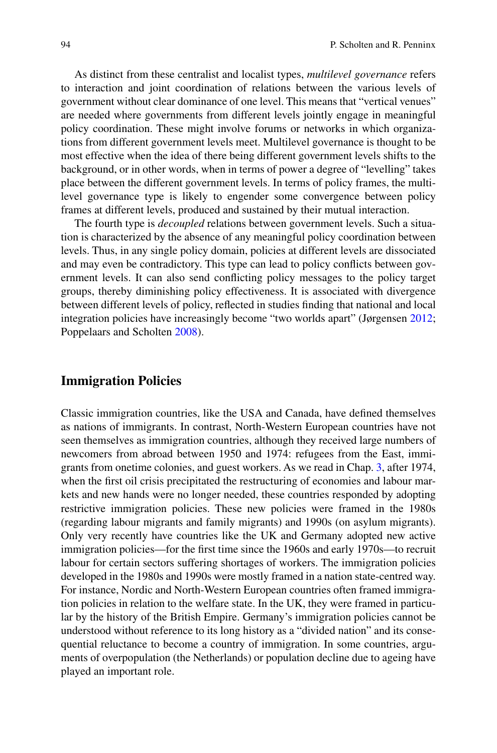As distinct from these centralist and localist types, *multilevel governance* refers to interaction and joint coordination of relations between the various levels of government without clear dominance of one level. This means that "vertical venues" are needed where governments from different levels jointly engage in meaningful policy coordination. These might involve forums or networks in which organizations from different government levels meet. Multilevel governance is thought to be most effective when the idea of there being different government levels shifts to the background, or in other words, when in terms of power a degree of "levelling" takes place between the different government levels. In terms of policy frames, the multilevel governance type is likely to engender some convergence between policy frames at different levels, produced and sustained by their mutual interaction.

 The fourth type is *decoupled* relations between government levels. Such a situation is characterized by the absence of any meaningful policy coordination between levels. Thus, in any single policy domain, policies at different levels are dissociated and may even be contradictory. This type can lead to policy conflicts between government levels. It can also send conflicting policy messages to the policy target groups, thereby diminishing policy effectiveness. It is associated with divergence between different levels of policy, reflected in studies finding that national and local integration policies have increasingly become "two worlds apart" (Jørgensen 2012; Poppelaars and Scholten 2008).

#### **Immigration Policies**

Classic immigration countries, like the USA and Canada, have defined themselves as nations of immigrants. In contrast, North-Western European countries have not seen themselves as immigration countries, although they received large numbers of newcomers from abroad between 1950 and 1974: refugees from the East, immigrants from onetime colonies, and guest workers. As we read in Chap. [3,](http://dx.doi.org/10.1007/978-3-319-21674-4_3) after 1974, when the first oil crisis precipitated the restructuring of economies and labour markets and new hands were no longer needed, these countries responded by adopting restrictive immigration policies. These new policies were framed in the 1980s (regarding labour migrants and family migrants) and 1990s (on asylum migrants). Only very recently have countries like the UK and Germany adopted new active immigration policies—for the first time since the 1960s and early 1970s—to recruit labour for certain sectors suffering shortages of workers. The immigration policies developed in the 1980s and 1990s were mostly framed in a nation state-centred way. For instance, Nordic and North-Western European countries often framed immigration policies in relation to the welfare state. In the UK, they were framed in particular by the history of the British Empire. Germany's immigration policies cannot be understood without reference to its long history as a "divided nation" and its consequential reluctance to become a country of immigration. In some countries, arguments of overpopulation (the Netherlands) or population decline due to ageing have played an important role.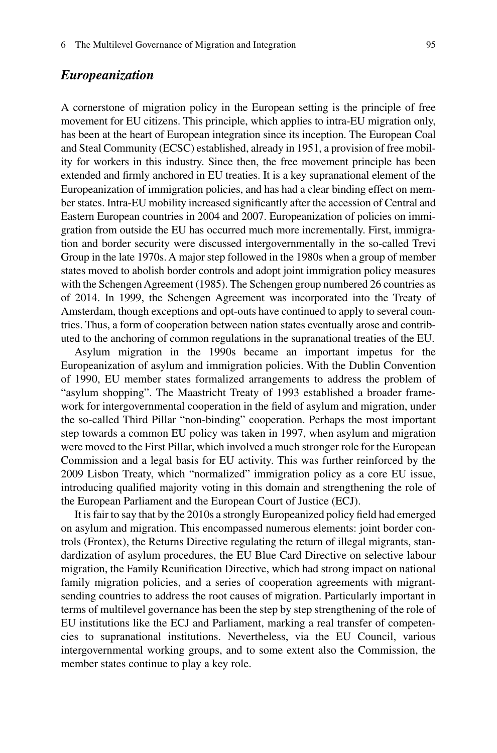#### *Europeanization*

 A cornerstone of migration policy in the European setting is the principle of free movement for EU citizens. This principle, which applies to intra-EU migration only, has been at the heart of European integration since its inception. The European Coal and Steal Community (ECSC) established, already in 1951, a provision of free mobility for workers in this industry. Since then, the free movement principle has been extended and firmly anchored in EU treaties. It is a key supranational element of the Europeanization of immigration policies, and has had a clear binding effect on member states. Intra-EU mobility increased significantly after the accession of Central and Eastern European countries in 2004 and 2007. Europeanization of policies on immigration from outside the EU has occurred much more incrementally. First, immigration and border security were discussed intergovernmentally in the so-called Trevi Group in the late 1970s. A major step followed in the 1980s when a group of member states moved to abolish border controls and adopt joint immigration policy measures with the Schengen Agreement (1985). The Schengen group numbered 26 countries as of 2014. In 1999, the Schengen Agreement was incorporated into the Treaty of Amsterdam, though exceptions and opt-outs have continued to apply to several countries. Thus, a form of cooperation between nation states eventually arose and contributed to the anchoring of common regulations in the supranational treaties of the EU.

 Asylum migration in the 1990s became an important impetus for the Europeanization of asylum and immigration policies. With the Dublin Convention of 1990, EU member states formalized arrangements to address the problem of "asylum shopping". The Maastricht Treaty of 1993 established a broader framework for intergovernmental cooperation in the field of asylum and migration, under the so-called Third Pillar "non-binding" cooperation. Perhaps the most important step towards a common EU policy was taken in 1997, when asylum and migration were moved to the First Pillar, which involved a much stronger role for the European Commission and a legal basis for EU activity. This was further reinforced by the 2009 Lisbon Treaty, which "normalized" immigration policy as a core EU issue, introducing qualified majority voting in this domain and strengthening the role of the European Parliament and the European Court of Justice (ECJ).

It is fair to say that by the 2010s a strongly Europeanized policy field had emerged on asylum and migration. This encompassed numerous elements: joint border controls (Frontex), the Returns Directive regulating the return of illegal migrants, standardization of asylum procedures, the EU Blue Card Directive on selective labour migration, the Family Reunification Directive, which had strong impact on national family migration policies, and a series of cooperation agreements with migrantsending countries to address the root causes of migration. Particularly important in terms of multilevel governance has been the step by step strengthening of the role of EU institutions like the ECJ and Parliament, marking a real transfer of competencies to supranational institutions. Nevertheless, via the EU Council, various intergovernmental working groups, and to some extent also the Commission, the member states continue to play a key role.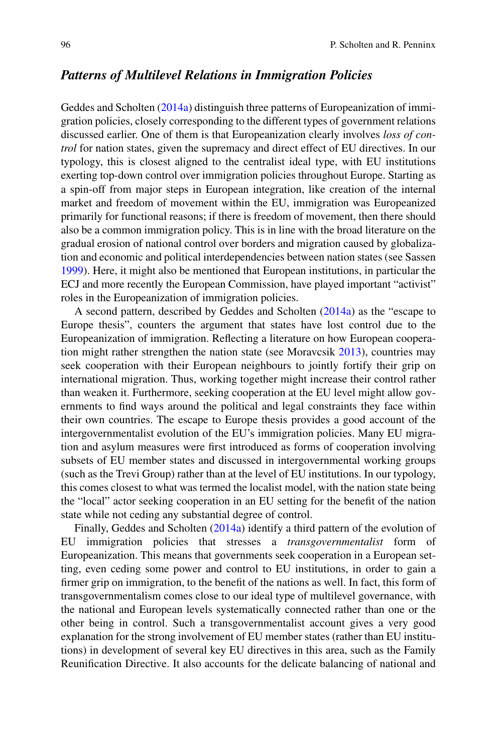#### *Patterns of Multilevel Relations in Immigration Policies*

Geddes and Scholten  $(2014a)$  distinguish three patterns of Europeanization of immigration policies, closely corresponding to the different types of government relations discussed earlier. One of them is that Europeanization clearly involves *loss of control* for nation states, given the supremacy and direct effect of EU directives. In our typology, this is closest aligned to the centralist ideal type, with EU institutions exerting top-down control over immigration policies throughout Europe. Starting as a spin-off from major steps in European integration, like creation of the internal market and freedom of movement within the EU, immigration was Europeanized primarily for functional reasons; if there is freedom of movement, then there should also be a common immigration policy. This is in line with the broad literature on the gradual erosion of national control over borders and migration caused by globalization and economic and political interdependencies between nation states (see Sassen [1999 \)](#page-17-0). Here, it might also be mentioned that European institutions, in particular the ECJ and more recently the European Commission, have played important "activist" roles in the Europeanization of immigration policies.

A second pattern, described by Geddes and Scholten (2014a) as the "escape to Europe thesis", counters the argument that states have lost control due to the Europeanization of immigration. Reflecting a literature on how European cooperation might rather strengthen the nation state (see Moravcsik 2013), countries may seek cooperation with their European neighbours to jointly fortify their grip on international migration. Thus, working together might increase their control rather than weaken it. Furthermore, seeking cooperation at the EU level might allow governments to find ways around the political and legal constraints they face within their own countries. The escape to Europe thesis provides a good account of the intergovernmentalist evolution of the EU's immigration policies. Many EU migration and asylum measures were first introduced as forms of cooperation involving subsets of EU member states and discussed in intergovernmental working groups (such as the Trevi Group) rather than at the level of EU institutions. In our typology, this comes closest to what was termed the localist model, with the nation state being the "local" actor seeking cooperation in an EU setting for the benefi t of the nation state while not ceding any substantial degree of control.

Finally, Geddes and Scholten  $(2014a)$  identify a third pattern of the evolution of EU immigration policies that stresses a *transgovernmentalist* form of Europeanization. This means that governments seek cooperation in a European setting, even ceding some power and control to EU institutions, in order to gain a firmer grip on immigration, to the benefit of the nations as well. In fact, this form of transgovernmentalism comes close to our ideal type of multilevel governance, with the national and European levels systematically connected rather than one or the other being in control. Such a transgovernmentalist account gives a very good explanation for the strong involvement of EU member states (rather than EU institutions) in development of several key EU directives in this area, such as the Family Reunification Directive. It also accounts for the delicate balancing of national and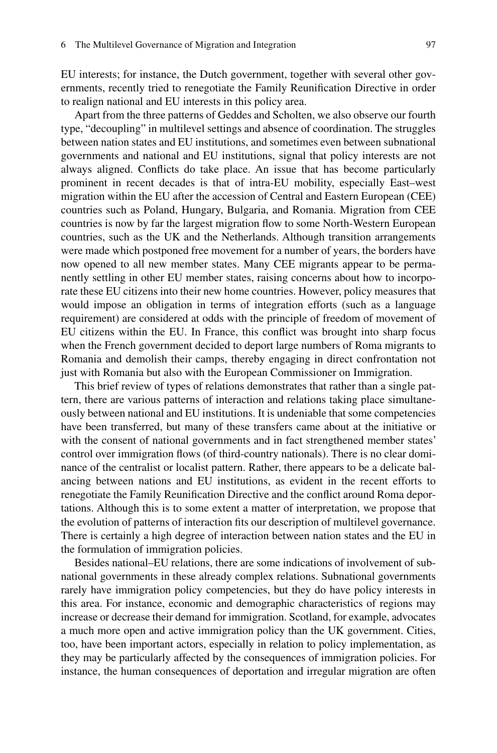EU interests; for instance, the Dutch government, together with several other governments, recently tried to renegotiate the Family Reunification Directive in order to realign national and EU interests in this policy area.

 Apart from the three patterns of Geddes and Scholten, we also observe our fourth type, "decoupling" in multilevel settings and absence of coordination. The struggles between nation states and EU institutions, and sometimes even between subnational governments and national and EU institutions, signal that policy interests are not always aligned. Conflicts do take place. An issue that has become particularly prominent in recent decades is that of intra-EU mobility, especially East–west migration within the EU after the accession of Central and Eastern European (CEE) countries such as Poland, Hungary, Bulgaria, and Romania. Migration from CEE countries is now by far the largest migration flow to some North-Western European countries, such as the UK and the Netherlands. Although transition arrangements were made which postponed free movement for a number of years, the borders have now opened to all new member states. Many CEE migrants appear to be permanently settling in other EU member states, raising concerns about how to incorporate these EU citizens into their new home countries. However, policy measures that would impose an obligation in terms of integration efforts (such as a language requirement) are considered at odds with the principle of freedom of movement of EU citizens within the EU. In France, this conflict was brought into sharp focus when the French government decided to deport large numbers of Roma migrants to Romania and demolish their camps, thereby engaging in direct confrontation not just with Romania but also with the European Commissioner on Immigration.

 This brief review of types of relations demonstrates that rather than a single pattern, there are various patterns of interaction and relations taking place simultaneously between national and EU institutions. It is undeniable that some competencies have been transferred, but many of these transfers came about at the initiative or with the consent of national governments and in fact strengthened member states' control over immigration flows (of third-country nationals). There is no clear dominance of the centralist or localist pattern. Rather, there appears to be a delicate balancing between nations and EU institutions, as evident in the recent efforts to renegotiate the Family Reunification Directive and the conflict around Roma deportations. Although this is to some extent a matter of interpretation, we propose that the evolution of patterns of interaction fits our description of multilevel governance. There is certainly a high degree of interaction between nation states and the EU in the formulation of immigration policies.

 Besides national–EU relations, there are some indications of involvement of subnational governments in these already complex relations. Subnational governments rarely have immigration policy competencies, but they do have policy interests in this area. For instance, economic and demographic characteristics of regions may increase or decrease their demand for immigration. Scotland, for example, advocates a much more open and active immigration policy than the UK government. Cities, too, have been important actors, especially in relation to policy implementation, as they may be particularly affected by the consequences of immigration policies. For instance, the human consequences of deportation and irregular migration are often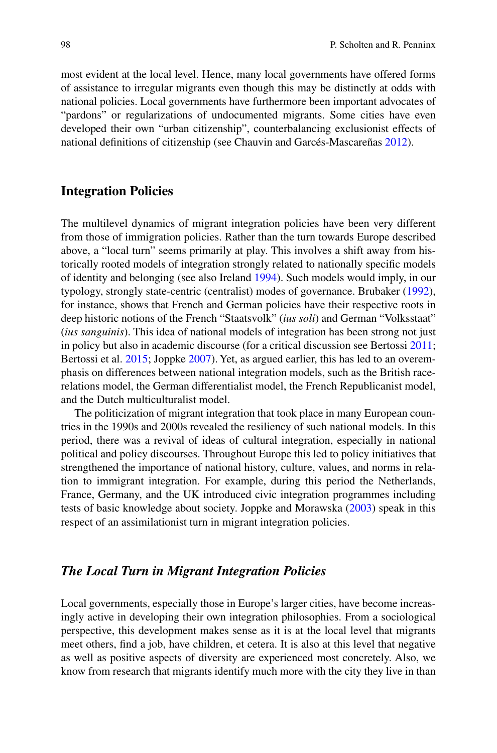most evident at the local level. Hence, many local governments have offered forms of assistance to irregular migrants even though this may be distinctly at odds with national policies. Local governments have furthermore been important advocates of "pardons" or regularizations of undocumented migrants. Some cities have even developed their own "urban citizenship", counterbalancing exclusionist effects of national definitions of citizenship (see Chauvin and Garcés-Mascareñas [2012](#page-17-0)).

#### **Integration Policies**

 The multilevel dynamics of migrant integration policies have been very different from those of immigration policies. Rather than the turn towards Europe described above, a "local turn" seems primarily at play. This involves a shift away from historically rooted models of integration strongly related to nationally specific models of identity and belonging (see also Ireland [1994 \)](#page-17-0). Such models would imply, in our typology, strongly state-centric (centralist) modes of governance. Brubaker ( [1992 \)](#page-16-0), for instance, shows that French and German policies have their respective roots in deep historic notions of the French "Staatsvolk" ( *ius soli* ) and German "Volksstaat" *(ius sanguinis)*. This idea of national models of integration has been strong not just in policy but also in academic discourse (for a critical discussion see Bertossi 2011; Bertossi et al. 2015; Joppke 2007). Yet, as argued earlier, this has led to an overemphasis on differences between national integration models, such as the British racerelations model, the German differentialist model, the French Republicanist model, and the Dutch multiculturalist model.

 The politicization of migrant integration that took place in many European countries in the 1990s and 2000s revealed the resiliency of such national models. In this period, there was a revival of ideas of cultural integration, especially in national political and policy discourses. Throughout Europe this led to policy initiatives that strengthened the importance of national history, culture, values, and norms in relation to immigrant integration. For example, during this period the Netherlands, France, Germany, and the UK introduced civic integration programmes including tests of basic knowledge about society. Joppke and Morawska (2003) speak in this respect of an assimilationist turn in migrant integration policies.

#### *The Local Turn in Migrant Integration Policies*

 Local governments, especially those in Europe's larger cities, have become increasingly active in developing their own integration philosophies. From a sociological perspective, this development makes sense as it is at the local level that migrants meet others, find a job, have children, et cetera. It is also at this level that negative as well as positive aspects of diversity are experienced most concretely. Also, we know from research that migrants identify much more with the city they live in than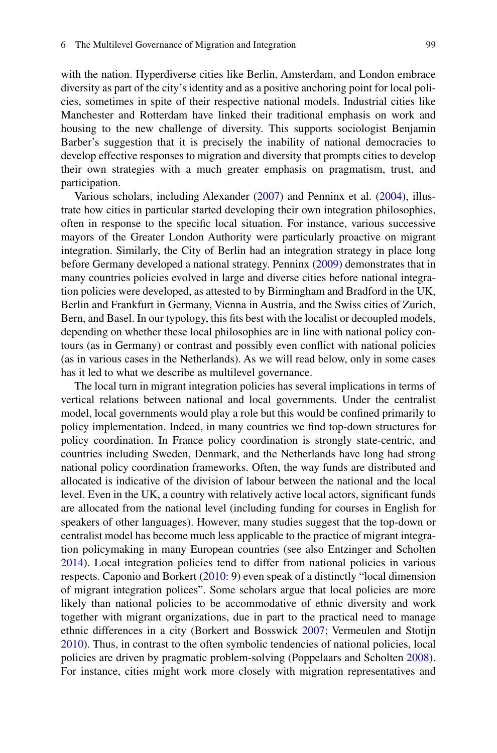with the nation. Hyperdiverse cities like Berlin, Amsterdam, and London embrace diversity as part of the city's identity and as a positive anchoring point for local policies, sometimes in spite of their respective national models. Industrial cities like Manchester and Rotterdam have linked their traditional emphasis on work and housing to the new challenge of diversity. This supports sociologist Benjamin Barber's suggestion that it is precisely the inability of national democracies to develop effective responses to migration and diversity that prompts cities to develop their own strategies with a much greater emphasis on pragmatism, trust, and participation.

Various scholars, including Alexander  $(2007)$  and Penninx et al.  $(2004)$ , illustrate how cities in particular started developing their own integration philosophies, often in response to the specific local situation. For instance, various successive mayors of the Greater London Authority were particularly proactive on migrant integration. Similarly, the City of Berlin had an integration strategy in place long before Germany developed a national strategy. Penninx (2009) demonstrates that in many countries policies evolved in large and diverse cities before national integration policies were developed, as attested to by Birmingham and Bradford in the UK, Berlin and Frankfurt in Germany, Vienna in Austria, and the Swiss cities of Zurich, Bern, and Basel. In our typology, this fits best with the localist or decoupled models, depending on whether these local philosophies are in line with national policy contours (as in Germany) or contrast and possibly even conflict with national policies (as in various cases in the Netherlands). As we will read below, only in some cases has it led to what we describe as multilevel governance.

 The local turn in migrant integration policies has several implications in terms of vertical relations between national and local governments. Under the centralist model, local governments would play a role but this would be confined primarily to policy implementation. Indeed, in many countries we find top-down structures for policy coordination. In France policy coordination is strongly state-centric, and countries including Sweden, Denmark, and the Netherlands have long had strong national policy coordination frameworks. Often, the way funds are distributed and allocated is indicative of the division of labour between the national and the local level. Even in the UK, a country with relatively active local actors, significant funds are allocated from the national level (including funding for courses in English for speakers of other languages). However, many studies suggest that the top-down or centralist model has become much less applicable to the practice of migrant integration policymaking in many European countries (see also Entzinger and Scholten 2014). Local integration policies tend to differ from national policies in various respects. Caponio and Borkert (2010: 9) even speak of a distinctly "local dimension of migrant integration polices". Some scholars argue that local policies are more likely than national policies to be accommodative of ethnic diversity and work together with migrant organizations, due in part to the practical need to manage ethnic differences in a city (Borkert and Bosswick [2007](#page-16-0) ; Vermeulen and Stotijn [2010 \)](#page-18-0). Thus, in contrast to the often symbolic tendencies of national policies, local policies are driven by pragmatic problem-solving (Poppelaars and Scholten 2008). For instance, cities might work more closely with migration representatives and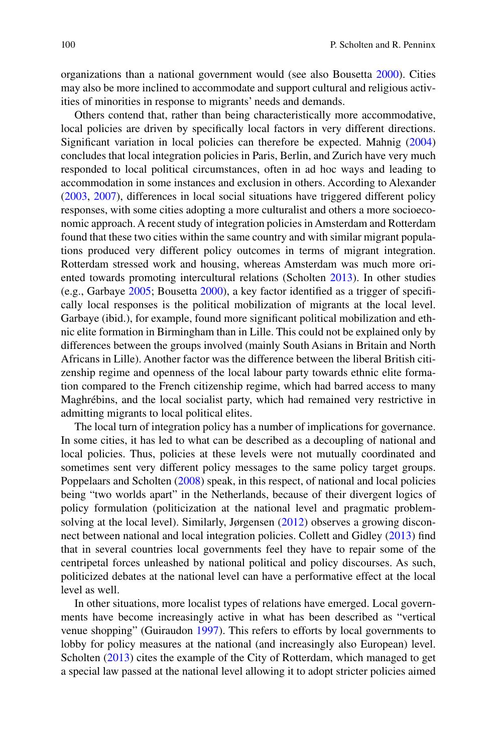organizations than a national government would (see also Bousetta 2000). Cities may also be more inclined to accommodate and support cultural and religious activities of minorities in response to migrants' needs and demands.

 Others contend that, rather than being characteristically more accommodative, local policies are driven by specifically local factors in very different directions. Significant variation in local policies can therefore be expected. Mahnig  $(2004)$ concludes that local integration policies in Paris, Berlin, and Zurich have very much responded to local political circumstances, often in ad hoc ways and leading to accommodation in some instances and exclusion in others. According to Alexander  $(2003, 2007)$  $(2003, 2007)$  $(2003, 2007)$ , differences in local social situations have triggered different policy responses, with some cities adopting a more culturalist and others a more socioeconomic approach. A recent study of integration policies in Amsterdam and Rotterdam found that these two cities within the same country and with similar migrant populations produced very different policy outcomes in terms of migrant integration. Rotterdam stressed work and housing, whereas Amsterdam was much more ori-ented towards promoting intercultural relations (Scholten [2013](#page-17-0)). In other studies (e.g., Garbaye  $2005$ ; Bousetta  $2000$ ), a key factor identified as a trigger of specifically local responses is the political mobilization of migrants at the local level. Garbaye (ibid.), for example, found more significant political mobilization and ethnic elite formation in Birmingham than in Lille. This could not be explained only by differences between the groups involved (mainly South Asians in Britain and North Africans in Lille). Another factor was the difference between the liberal British citizenship regime and openness of the local labour party towards ethnic elite formation compared to the French citizenship regime, which had barred access to many Maghrébins, and the local socialist party, which had remained very restrictive in admitting migrants to local political elites.

 The local turn of integration policy has a number of implications for governance. In some cities, it has led to what can be described as a decoupling of national and local policies. Thus, policies at these levels were not mutually coordinated and sometimes sent very different policy messages to the same policy target groups. Poppelaars and Scholten (2008) speak, in this respect, of national and local policies being "two worlds apart" in the Netherlands, because of their divergent logics of policy formulation (politicization at the national level and pragmatic problemsolving at the local level). Similarly, Jørgensen (2012) observes a growing disconnect between national and local integration policies. Collett and Gidley (2013) find that in several countries local governments feel they have to repair some of the centripetal forces unleashed by national political and policy discourses. As such, politicized debates at the national level can have a performative effect at the local level as well.

 In other situations, more localist types of relations have emerged. Local governments have become increasingly active in what has been described as "vertical venue shopping" (Guiraudon 1997). This refers to efforts by local governments to lobby for policy measures at the national (and increasingly also European) level. Scholten (2013) cites the example of the City of Rotterdam, which managed to get a special law passed at the national level allowing it to adopt stricter policies aimed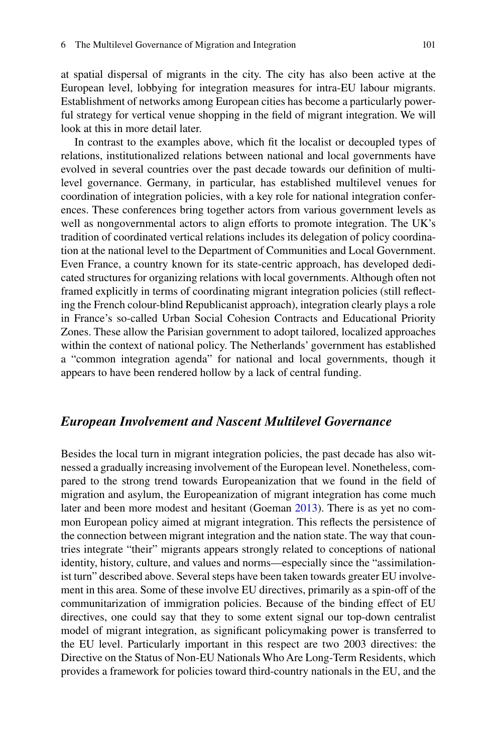at spatial dispersal of migrants in the city. The city has also been active at the European level, lobbying for integration measures for intra-EU labour migrants. Establishment of networks among European cities has become a particularly powerful strategy for vertical venue shopping in the field of migrant integration. We will look at this in more detail later.

In contrast to the examples above, which fit the localist or decoupled types of relations, institutionalized relations between national and local governments have evolved in several countries over the past decade towards our definition of multilevel governance. Germany, in particular, has established multilevel venues for coordination of integration policies, with a key role for national integration conferences. These conferences bring together actors from various government levels as well as nongovernmental actors to align efforts to promote integration. The UK's tradition of coordinated vertical relations includes its delegation of policy coordination at the national level to the Department of Communities and Local Government. Even France, a country known for its state-centric approach, has developed dedicated structures for organizing relations with local governments. Although often not framed explicitly in terms of coordinating migrant integration policies (still reflecting the French colour-blind Republicanist approach), integration clearly plays a role in France's so-called Urban Social Cohesion Contracts and Educational Priority Zones. These allow the Parisian government to adopt tailored, localized approaches within the context of national policy. The Netherlands' government has established a "common integration agenda" for national and local governments, though it appears to have been rendered hollow by a lack of central funding.

#### *European Involvement and Nascent Multilevel Governance*

 Besides the local turn in migrant integration policies, the past decade has also witnessed a gradually increasing involvement of the European level. Nonetheless, compared to the strong trend towards Europeanization that we found in the field of migration and asylum, the Europeanization of migrant integration has come much later and been more modest and hesitant (Goeman 2013). There is as yet no common European policy aimed at migrant integration. This reflects the persistence of the connection between migrant integration and the nation state. The way that countries integrate "their" migrants appears strongly related to conceptions of national identity, history, culture, and values and norms—especially since the "assimilationist turn" described above. Several steps have been taken towards greater EU involvement in this area. Some of these involve EU directives, primarily as a spin-off of the communitarization of immigration policies. Because of the binding effect of EU directives, one could say that they to some extent signal our top-down centralist model of migrant integration, as significant policymaking power is transferred to the EU level. Particularly important in this respect are two 2003 directives: the Directive on the Status of Non-EU Nationals Who Are Long-Term Residents, which provides a framework for policies toward third-country nationals in the EU, and the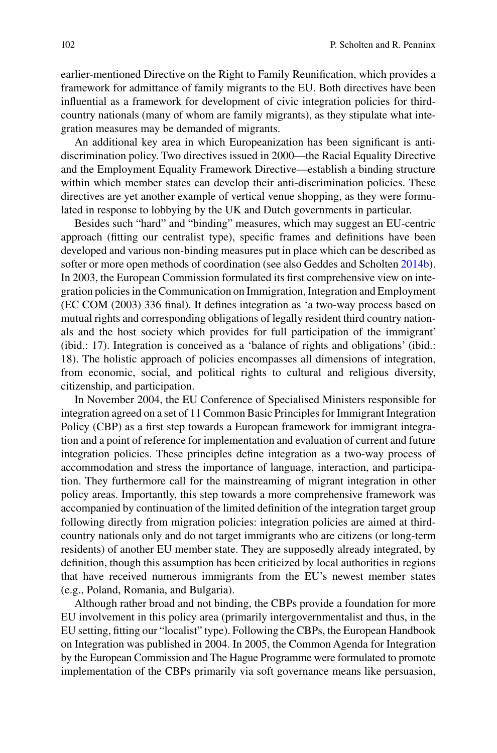earlier-mentioned Directive on the Right to Family Reunification, which provides a framework for admittance of family migrants to the EU. Both directives have been influential as a framework for development of civic integration policies for thirdcountry nationals (many of whom are family migrants), as they stipulate what integration measures may be demanded of migrants.

An additional key area in which Europeanization has been significant is antidiscrimination policy. Two directives issued in 2000—the Racial Equality Directive and the Employment Equality Framework Directive—establish a binding structure within which member states can develop their anti-discrimination policies. These directives are yet another example of vertical venue shopping, as they were formulated in response to lobbying by the UK and Dutch governments in particular.

 Besides such "hard" and "binding" measures, which may suggest an EU-centric approach (fitting our centralist type), specific frames and definitions have been developed and various non-binding measures put in place which can be described as softer or more open methods of coordination (see also Geddes and Scholten 2014b). In 2003, the European Commission formulated its first comprehensive view on integration policies in the Communication on Immigration, Integration and Employment  $(EC COM (2003) 336 final)$ . It defines integration as 'a two-way process based on mutual rights and corresponding obligations of legally resident third country nationals and the host society which provides for full participation of the immigrant' (ibid.: 17). Integration is conceived as a 'balance of rights and obligations' (ibid.: 18). The holistic approach of policies encompasses all dimensions of integration, from economic, social, and political rights to cultural and religious diversity, citizenship, and participation.

 In November 2004, the EU Conference of Specialised Ministers responsible for integration agreed on a set of 11 Common Basic Principles for Immigrant Integration Policy (CBP) as a first step towards a European framework for immigrant integration and a point of reference for implementation and evaluation of current and future integration policies. These principles define integration as a two-way process of accommodation and stress the importance of language, interaction, and participation. They furthermore call for the mainstreaming of migrant integration in other policy areas. Importantly, this step towards a more comprehensive framework was accompanied by continuation of the limited definition of the integration target group following directly from migration policies: integration policies are aimed at thirdcountry nationals only and do not target immigrants who are citizens (or long-term residents) of another EU member state. They are supposedly already integrated, by definition, though this assumption has been criticized by local authorities in regions that have received numerous immigrants from the EU's newest member states (e.g., Poland, Romania, and Bulgaria).

 Although rather broad and not binding, the CBPs provide a foundation for more EU involvement in this policy area (primarily intergovernmentalist and thus, in the EU setting, fitting our "localist" type). Following the CBPs, the European Handbook on Integration was published in 2004. In 2005, the Common Agenda for Integration by the European Commission and The Hague Programme were formulated to promote implementation of the CBPs primarily via soft governance means like persuasion,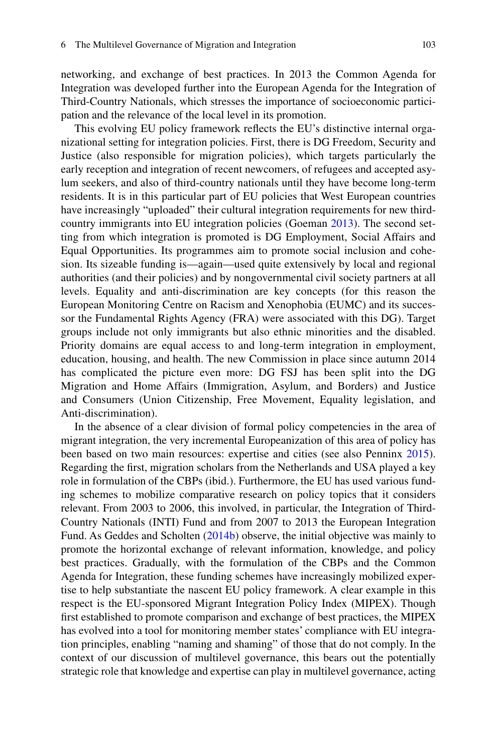networking, and exchange of best practices. In 2013 the Common Agenda for Integration was developed further into the European Agenda for the Integration of Third-Country Nationals, which stresses the importance of socioeconomic participation and the relevance of the local level in its promotion.

This evolving EU policy framework reflects the EU's distinctive internal organizational setting for integration policies. First, there is DG Freedom, Security and Justice (also responsible for migration policies), which targets particularly the early reception and integration of recent newcomers, of refugees and accepted asylum seekers, and also of third-country nationals until they have become long-term residents. It is in this particular part of EU policies that West European countries have increasingly "uploaded" their cultural integration requirements for new thirdcountry immigrants into EU integration policies (Goeman 2013). The second setting from which integration is promoted is DG Employment, Social Affairs and Equal Opportunities. Its programmes aim to promote social inclusion and cohesion. Its sizeable funding is—again—used quite extensively by local and regional authorities (and their policies) and by nongovernmental civil society partners at all levels. Equality and anti-discrimination are key concepts (for this reason the European Monitoring Centre on Racism and Xenophobia (EUMC) and its successor the Fundamental Rights Agency (FRA) were associated with this DG). Target groups include not only immigrants but also ethnic minorities and the disabled. Priority domains are equal access to and long-term integration in employment, education, housing, and health. The new Commission in place since autumn 2014 has complicated the picture even more: DG FSJ has been split into the DG Migration and Home Affairs (Immigration, Asylum, and Borders) and Justice and Consumers (Union Citizenship, Free Movement, Equality legislation, and Anti-discrimination).

 In the absence of a clear division of formal policy competencies in the area of migrant integration, the very incremental Europeanization of this area of policy has been based on two main resources: expertise and cities (see also Penninx 2015). Regarding the first, migration scholars from the Netherlands and USA played a key role in formulation of the CBPs (ibid.). Furthermore, the EU has used various funding schemes to mobilize comparative research on policy topics that it considers relevant. From 2003 to 2006, this involved, in particular, the Integration of Third-Country Nationals (INTI) Fund and from 2007 to 2013 the European Integration Fund. As Geddes and Scholten (2014b) observe, the initial objective was mainly to promote the horizontal exchange of relevant information, knowledge, and policy best practices. Gradually, with the formulation of the CBPs and the Common Agenda for Integration, these funding schemes have increasingly mobilized expertise to help substantiate the nascent EU policy framework. A clear example in this respect is the EU-sponsored Migrant Integration Policy Index (MIPEX). Though first established to promote comparison and exchange of best practices, the MIPEX has evolved into a tool for monitoring member states' compliance with EU integration principles, enabling "naming and shaming" of those that do not comply. In the context of our discussion of multilevel governance, this bears out the potentially strategic role that knowledge and expertise can play in multilevel governance, acting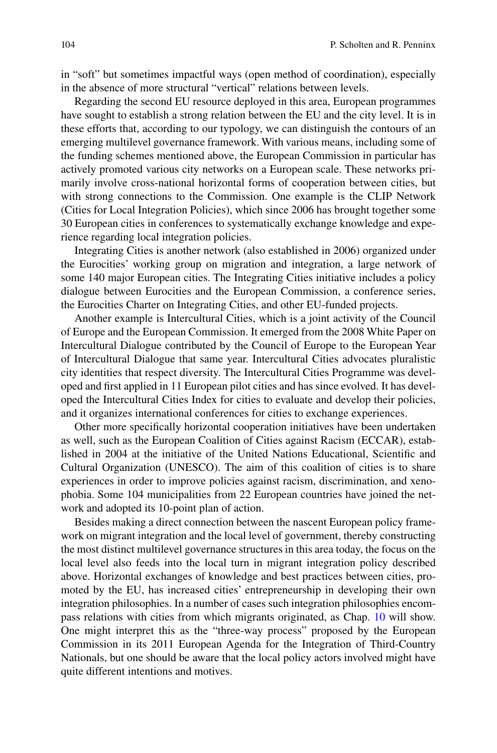in "soft" but sometimes impactful ways (open method of coordination), especially in the absence of more structural "vertical" relations between levels.

 Regarding the second EU resource deployed in this area, European programmes have sought to establish a strong relation between the EU and the city level. It is in these efforts that, according to our typology, we can distinguish the contours of an emerging multilevel governance framework. With various means, including some of the funding schemes mentioned above, the European Commission in particular has actively promoted various city networks on a European scale. These networks primarily involve cross-national horizontal forms of cooperation between cities, but with strong connections to the Commission. One example is the CLIP Network (Cities for Local Integration Policies), which since 2006 has brought together some 30 European cities in conferences to systematically exchange knowledge and experience regarding local integration policies.

 Integrating Cities is another network (also established in 2006) organized under the Eurocities' working group on migration and integration, a large network of some 140 major European cities. The Integrating Cities initiative includes a policy dialogue between Eurocities and the European Commission, a conference series, the Eurocities Charter on Integrating Cities, and other EU-funded projects.

 Another example is Intercultural Cities, which is a joint activity of the Council of Europe and the European Commission. It emerged from the 2008 White Paper on Intercultural Dialogue contributed by the Council of Europe to the European Year of Intercultural Dialogue that same year. Intercultural Cities advocates pluralistic city identities that respect diversity. The Intercultural Cities Programme was developed and first applied in 11 European pilot cities and has since evolved. It has developed the Intercultural Cities Index for cities to evaluate and develop their policies, and it organizes international conferences for cities to exchange experiences.

Other more specifically horizontal cooperation initiatives have been undertaken as well, such as the European Coalition of Cities against Racism (ECCAR), established in 2004 at the initiative of the United Nations Educational, Scientific and Cultural Organization (UNESCO). The aim of this coalition of cities is to share experiences in order to improve policies against racism, discrimination, and xenophobia. Some 104 municipalities from 22 European countries have joined the network and adopted its 10-point plan of action.

 Besides making a direct connection between the nascent European policy framework on migrant integration and the local level of government, thereby constructing the most distinct multilevel governance structures in this area today, the focus on the local level also feeds into the local turn in migrant integration policy described above. Horizontal exchanges of knowledge and best practices between cities, promoted by the EU, has increased cities' entrepreneurship in developing their own integration philosophies. In a number of cases such integration philosophies encompass relations with cities from which migrants originated, as Chap. [10](http://dx.doi.org/10.1007/978-3-319-21674-4_10) will show. One might interpret this as the "three-way process" proposed by the European Commission in its 2011 European Agenda for the Integration of Third-Country Nationals, but one should be aware that the local policy actors involved might have quite different intentions and motives.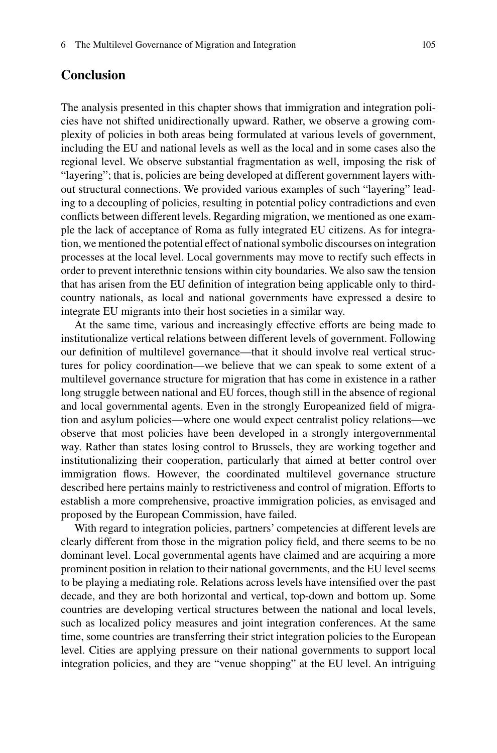#### **Conclusion**

 The analysis presented in this chapter shows that immigration and integration policies have not shifted unidirectionally upward. Rather, we observe a growing complexity of policies in both areas being formulated at various levels of government, including the EU and national levels as well as the local and in some cases also the regional level. We observe substantial fragmentation as well, imposing the risk of "layering"; that is, policies are being developed at different government layers without structural connections. We provided various examples of such "layering" leading to a decoupling of policies, resulting in potential policy contradictions and even conflicts between different levels. Regarding migration, we mentioned as one example the lack of acceptance of Roma as fully integrated EU citizens. As for integration, we mentioned the potential effect of national symbolic discourses on integration processes at the local level. Local governments may move to rectify such effects in order to prevent interethnic tensions within city boundaries. We also saw the tension that has arisen from the EU definition of integration being applicable only to thirdcountry nationals, as local and national governments have expressed a desire to integrate EU migrants into their host societies in a similar way.

 At the same time, various and increasingly effective efforts are being made to institutionalize vertical relations between different levels of government. Following our definition of multilevel governance—that it should involve real vertical structures for policy coordination—we believe that we can speak to some extent of a multilevel governance structure for migration that has come in existence in a rather long struggle between national and EU forces, though still in the absence of regional and local governmental agents. Even in the strongly Europeanized field of migration and asylum policies—where one would expect centralist policy relations—we observe that most policies have been developed in a strongly intergovernmental way. Rather than states losing control to Brussels, they are working together and institutionalizing their cooperation, particularly that aimed at better control over immigration flows. However, the coordinated multilevel governance structure described here pertains mainly to restrictiveness and control of migration. Efforts to establish a more comprehensive, proactive immigration policies, as envisaged and proposed by the European Commission, have failed.

 With regard to integration policies, partners' competencies at different levels are clearly different from those in the migration policy field, and there seems to be no dominant level. Local governmental agents have claimed and are acquiring a more prominent position in relation to their national governments, and the EU level seems to be playing a mediating role. Relations across levels have intensified over the past decade, and they are both horizontal and vertical, top-down and bottom up. Some countries are developing vertical structures between the national and local levels, such as localized policy measures and joint integration conferences. At the same time, some countries are transferring their strict integration policies to the European level. Cities are applying pressure on their national governments to support local integration policies, and they are "venue shopping" at the EU level. An intriguing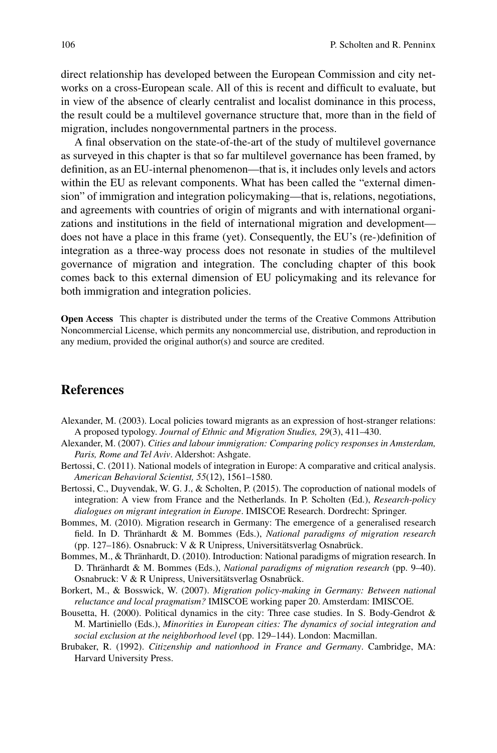<span id="page-16-0"></span>direct relationship has developed between the European Commission and city networks on a cross-European scale. All of this is recent and difficult to evaluate, but in view of the absence of clearly centralist and localist dominance in this process, the result could be a multilevel governance structure that, more than in the field of migration, includes nongovernmental partners in the process.

A final observation on the state-of-the-art of the study of multilevel governance as surveyed in this chapter is that so far multilevel governance has been framed, by definition, as an EU-internal phenomenon—that is, it includes only levels and actors within the EU as relevant components. What has been called the "external dimension" of immigration and integration policymaking—that is, relations, negotiations, and agreements with countries of origin of migrants and with international organizations and institutions in the field of international migration and development does not have a place in this frame (yet). Consequently, the EU's (re-)definition of integration as a three-way process does not resonate in studies of the multilevel governance of migration and integration. The concluding chapter of this book comes back to this external dimension of EU policymaking and its relevance for both immigration and integration policies.

**Open Access** This chapter is distributed under the terms of the Creative Commons Attribution Noncommercial License, which permits any noncommercial use, distribution, and reproduction in any medium, provided the original author(s) and source are credited.

#### **References**

- Alexander, M. (2003). Local policies toward migrants as an expression of host-stranger relations: A proposed typology. *Journal of Ethnic and Migration Studies, 29* (3), 411–430.
- Alexander, M. (2007). *Cities and labour immigration: Comparing policy responses in Amsterdam,*  Paris, Rome and Tel Aviv. Aldershot: Ashgate.
- Bertossi, C. (2011). National models of integration in Europe: A comparative and critical analysis. *American Behavioral Scientist, 55* (12), 1561–1580.
- Bertossi, C., Duyvendak, W. G. J., & Scholten, P. (2015). The coproduction of national models of integration: A view from France and the Netherlands. In P. Scholten (Ed.), *Research-policy dialogues on migrant integration in Europe* . IMISCOE Research. Dordrecht: Springer.
- Bommes, M. (2010). Migration research in Germany: The emergence of a generalised research fi eld. In D. Thränhardt & M. Bommes (Eds.), *National paradigms of migration research* (pp. 127–186). Osnabruck: V & R Unipress, Universitätsverlag Osnabrück.
- Bommes, M., & Thränhardt, D. (2010). Introduction: National paradigms of migration research. In D. Thränhardt & M. Bommes (Eds.), *National paradigms of migration research* (pp. 9–40). Osnabruck: V & R Unipress, Universitätsverlag Osnabrück.
- Borkert, M., & Bosswick, W. (2007). *Migration policy-making in Germany: Between national reluctance and local pragmatism?* IMISCOE working paper 20. Amsterdam: IMISCOE.
- Bousetta, H. (2000). Political dynamics in the city: Three case studies. In S. Body-Gendrot & M. Martiniello (Eds.), *Minorities in European cities: The dynamics of social integration and social exclusion at the neighborhood level* (pp. 129–144). London: Macmillan.
- Brubaker, R. (1992). *Citizenship and nationhood in France and Germany* . Cambridge, MA: Harvard University Press.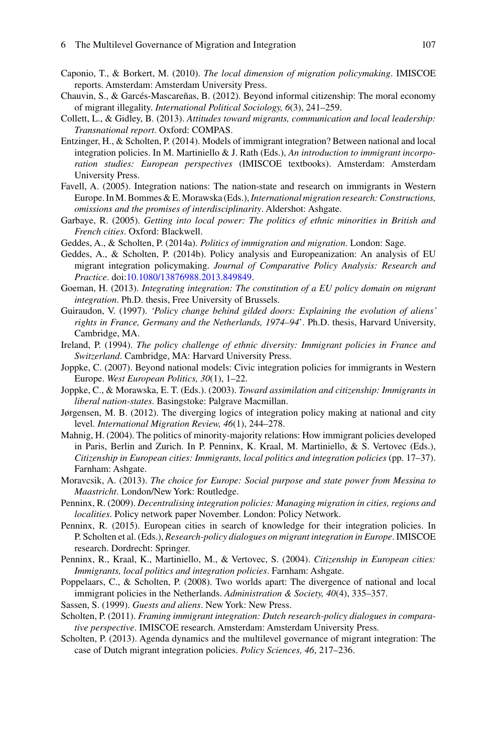- <span id="page-17-0"></span> Caponio, T., & Borkert, M. (2010). *The local dimension of migration policymaking* . IMISCOE reports. Amsterdam: Amsterdam University Press.
- Chauvin, S., & Garcés-Mascareñas, B. (2012). Beyond informal citizenship: The moral economy of migrant illegality. *International Political Sociology, 6* (3), 241–259.
- Collett, L., & Gidley, B. (2013). *Attitudes toward migrants, communication and local leadership: Transnational report* . Oxford: COMPAS.
- Entzinger, H., & Scholten, P. (2014). Models of immigrant integration? Between national and local integration policies. In M. Martiniello & J. Rath (Eds.), *An introduction to immigrant incorporation studies: European perspectives* (IMISCOE textbooks). Amsterdam: Amsterdam University Press.
- Favell, A. (2005). Integration nations: The nation-state and research on immigrants in Western Europe. In M. Bommes & E. Morawska (Eds.), *International migration research: Constructions, omissions and the promises of interdisciplinarity* . Aldershot: Ashgate.
- Garbaye, R. (2005). *Getting into local power: The politics of ethnic minorities in British and French cities* . Oxford: Blackwell.
- Geddes, A., & Scholten, P. (2014a). *Politics of immigration and migration* . London: Sage.
- Geddes, A., & Scholten, P. (2014b). Policy analysis and Europeanization: An analysis of EU migrant integration policymaking. *Journal of Comparative Policy Analysis: Research and Practice* . doi[:10.1080/13876988.2013.849849.](http://dx.doi.org/10.1080/13876988.2013.849849)
- Goeman, H. (2013). *Integrating integration: The constitution of a EU policy domain on migrant*  integration. Ph.D. thesis, Free University of Brussels.
- Guiraudon, V. (1997). *'Policy change behind gilded doors: Explaining the evolution of aliens' rights in France, Germany and the Netherlands, 1974–94* '. Ph.D. thesis, Harvard University, Cambridge, MA.
- Ireland, P. (1994). *The policy challenge of ethnic diversity: Immigrant policies in France and Switzerland* . Cambridge, MA: Harvard University Press.
- Joppke, C. (2007). Beyond national models: Civic integration policies for immigrants in Western Europe. *West European Politics*, 30(1), 1–22.
- Joppke, C., & Morawska, E. T. (Eds.). (2003). *Toward assimilation and citizenship: Immigrants in liberal nation-states* . Basingstoke: Palgrave Macmillan.
- Jørgensen, M. B. (2012). The diverging logics of integration policy making at national and city level. *International Migration Review, 46* (1), 244–278.
- Mahnig, H. (2004). The politics of minority-majority relations: How immigrant policies developed in Paris, Berlin and Zurich. In P. Penninx, K. Kraal, M. Martiniello, & S. Vertovec (Eds.), *Citizenship in European cities: Immigrants, local politics and integration policies* (pp. 17–37). Farnham: Ashgate.
- Moravcsik, A. (2013). *The choice for Europe: Social purpose and state power from Messina to Maastricht* . London/New York: Routledge.
- Penninx, R. (2009). *Decentralising integration policies: Managing migration in cities, regions and localities* . Policy network paper November. London: Policy Network.
- Penninx, R. (2015). European cities in search of knowledge for their integration policies. In P. Scholten et al. (Eds.), *Research-policy dialogues on migrant integration in Europe* . IMISCOE research. Dordrecht: Springer.
- Penninx, R., Kraal, K., Martiniello, M., & Vertovec, S. (2004). *Citizenship in European cities: Immigrants, local politics and integration policies* . Farnham: Ashgate.
- Poppelaars, C., & Scholten, P. (2008). Two worlds apart: The divergence of national and local immigrant policies in the Netherlands. *Administration & Society*, 40(4), 335–357.
- Sassen, S. (1999). *Guests and aliens* . New York: New Press.
- Scholten, P. (2011). *Framing immigrant integration: Dutch research-policy dialogues in comparative perspective* . IMISCOE research. Amsterdam: Amsterdam University Press.
- Scholten, P. (2013). Agenda dynamics and the multilevel governance of migrant integration: The case of Dutch migrant integration policies. *Policy Sciences, 46* , 217–236.